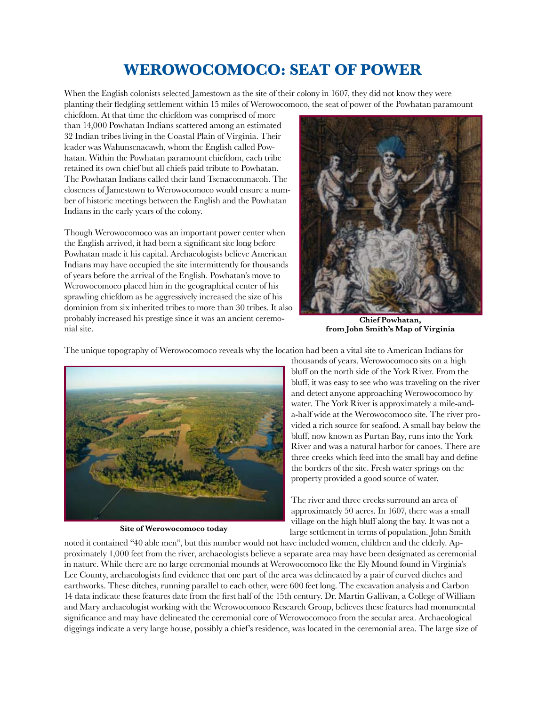## **Werowocomoco: Seat of Power**

When the English colonists selected Jamestown as the site of their colony in 1607, they did not know they were planting their fledgling settlement within 15 miles of Werowocomoco, the seat of power of the Powhatan paramount

chiefdom. At that time the chiefdom was comprised of more than 14,000 Powhatan Indians scattered among an estimated 32 Indian tribes living in the Coastal Plain of Virginia. Their leader was Wahunsenacawh, whom the English called Powhatan. Within the Powhatan paramount chiefdom, each tribe retained its own chief but all chiefs paid tribute to Powhatan. The Powhatan Indians called their land Tsenacommacoh. The closeness of Jamestown to Werowocomoco would ensure a number of historic meetings between the English and the Powhatan Indians in the early years of the colony.

Though Werowocomoco was an important power center when the English arrived, it had been a significant site long before Powhatan made it his capital. Archaeologists believe American Indians may have occupied the site intermittently for thousands of years before the arrival of the English. Powhatan's move to Werowocomoco placed him in the geographical center of his sprawling chiefdom as he aggressively increased the size of his dominion from six inherited tribes to more than 30 tribes. It also probably increased his prestige since it was an ancient ceremonial site.



**Chief Powhatan, from John Smith's Map of Virginia** 



**Site of Werowocomoco today**

thousands of years. Werowocomoco sits on a high bluff on the north side of the York River. From the bluff, it was easy to see who was traveling on the river and detect anyone approaching Werowocomoco by water. The York River is approximately a mile-anda-half wide at the Werowocomoco site. The river provided a rich source for seafood. A small bay below the bluff, now known as Purtan Bay, runs into the York River and was a natural harbor for canoes. There are three creeks which feed into the small bay and define the borders of the site. Fresh water springs on the property provided a good source of water.

The river and three creeks surround an area of approximately 50 acres. In 1607, there was a small village on the high bluff along the bay. It was not a large settlement in terms of population. John Smith

noted it contained "40 able men", but this number would not have included women, children and the elderly. Approximately 1,000 feet from the river, archaeologists believe a separate area may have been designated as ceremonial in nature. While there are no large ceremonial mounds at Werowocomoco like the Ely Mound found in Virginia's Lee County, archaeologists find evidence that one part of the area was delineated by a pair of curved ditches and earthworks. These ditches, running parallel to each other, were 600 feet long. The excavation analysis and Carbon 14 data indicate these features date from the first half of the 15th century. Dr. Martin Gallivan, a College of William and Mary archaeologist working with the Werowocomoco Research Group, believes these features had monumental significance and may have delineated the ceremonial core of Werowocomoco from the secular area. Archaeological diggings indicate a very large house, possibly a chief's residence, was located in the ceremonial area. The large size of

The unique topography of Werowocomoco reveals why the location had been a vital site to American Indians for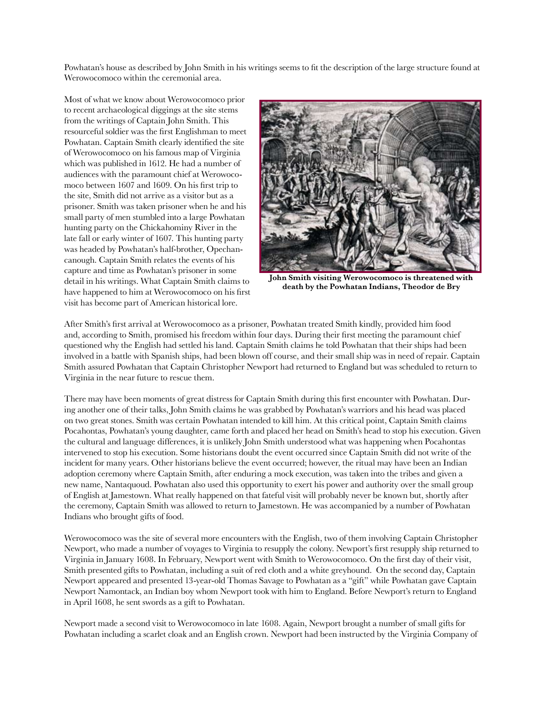Powhatan's house as described by John Smith in his writings seems to fit the description of the large structure found at Werowocomoco within the ceremonial area.

Most of what we know about Werowocomoco prior to recent archaeological diggings at the site stems from the writings of Captain John Smith. This resourceful soldier was the first Englishman to meet Powhatan. Captain Smith clearly identified the site of Werowocomoco on his famous map of Virginia which was published in 1612. He had a number of audiences with the paramount chief at Werowocomoco between 1607 and 1609. On his first trip to the site, Smith did not arrive as a visitor but as a prisoner. Smith was taken prisoner when he and his small party of men stumbled into a large Powhatan hunting party on the Chickahominy River in the late fall or early winter of 1607. This hunting party was headed by Powhatan's half-brother, Opechancanough. Captain Smith relates the events of his capture and time as Powhatan's prisoner in some detail in his writings. What Captain Smith claims to have happened to him at Werowocomoco on his first visit has become part of American historical lore.



**John Smith visiting Werowocomoco is threatened with death by the Powhatan Indians, Theodor de Bry**

After Smith's first arrival at Werowocomoco as a prisoner, Powhatan treated Smith kindly, provided him food and, according to Smith, promised his freedom within four days. During their first meeting the paramount chief questioned why the English had settled his land. Captain Smith claims he told Powhatan that their ships had been involved in a battle with Spanish ships, had been blown off course, and their small ship was in need of repair. Captain Smith assured Powhatan that Captain Christopher Newport had returned to England but was scheduled to return to Virginia in the near future to rescue them.

There may have been moments of great distress for Captain Smith during this first encounter with Powhatan. During another one of their talks, John Smith claims he was grabbed by Powhatan's warriors and his head was placed on two great stones. Smith was certain Powhatan intended to kill him. At this critical point, Captain Smith claims Pocahontas, Powhatan's young daughter, came forth and placed her head on Smith's head to stop his execution. Given the cultural and language differences, it is unlikely John Smith understood what was happening when Pocahontas intervened to stop his execution. Some historians doubt the event occurred since Captain Smith did not write of the incident for many years. Other historians believe the event occurred; however, the ritual may have been an Indian adoption ceremony where Captain Smith, after enduring a mock execution, was taken into the tribes and given a new name, Nantaquoud. Powhatan also used this opportunity to exert his power and authority over the small group of English at Jamestown. What really happened on that fateful visit will probably never be known but, shortly after the ceremony, Captain Smith was allowed to return to Jamestown. He was accompanied by a number of Powhatan Indians who brought gifts of food.

Werowocomoco was the site of several more encounters with the English, two of them involving Captain Christopher Newport, who made a number of voyages to Virginia to resupply the colony. Newport's first resupply ship returned to Virginia in January 1608. In February, Newport went with Smith to Werowocomoco. On the first day of their visit, Smith presented gifts to Powhatan, including a suit of red cloth and a white greyhound. On the second day, Captain Newport appeared and presented 13-year-old Thomas Savage to Powhatan as a "gift" while Powhatan gave Captain Newport Namontack, an Indian boy whom Newport took with him to England. Before Newport's return to England in April 1608, he sent swords as a gift to Powhatan.

Newport made a second visit to Werowocomoco in late 1608. Again, Newport brought a number of small gifts for Powhatan including a scarlet cloak and an English crown. Newport had been instructed by the Virginia Company of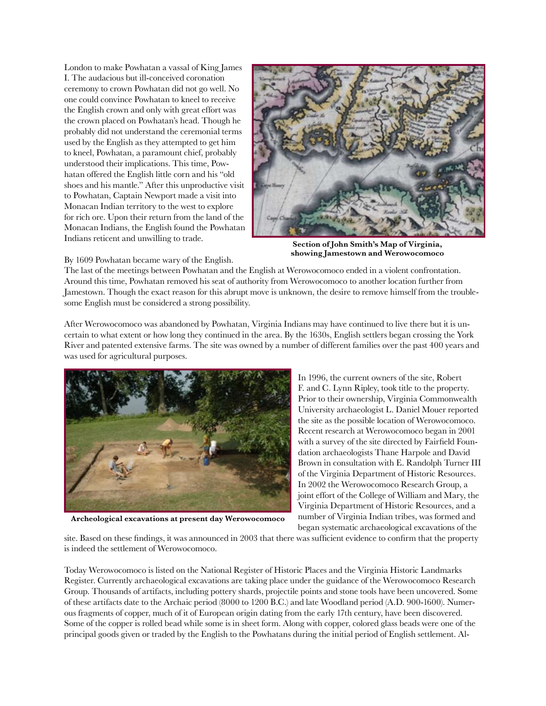London to make Powhatan a vassal of King James I. The audacious but ill-conceived coronation ceremony to crown Powhatan did not go well. No one could convince Powhatan to kneel to receive the English crown and only with great effort was the crown placed on Powhatan's head. Though he probably did not understand the ceremonial terms used by the English as they attempted to get him to kneel, Powhatan, a paramount chief, probably understood their implications. This time, Powhatan offered the English little corn and his "old shoes and his mantle." After this unproductive visit to Powhatan, Captain Newport made a visit into Monacan Indian territory to the west to explore for rich ore. Upon their return from the land of the Monacan Indians, the English found the Powhatan Indians reticent and unwilling to trade.



**Section of John Smith's Map of Virginia, showing Jamestown and Werowocomoco**

By 1609 Powhatan became wary of the English.

The last of the meetings between Powhatan and the English at Werowocomoco ended in a violent confrontation. Around this time, Powhatan removed his seat of authority from Werowocomoco to another location further from Jamestown. Though the exact reason for this abrupt move is unknown, the desire to remove himself from the troublesome English must be considered a strong possibility.

After Werowocomoco was abandoned by Powhatan, Virginia Indians may have continued to live there but it is uncertain to what extent or how long they continued in the area. By the 1630s, English settlers began crossing the York River and patented extensive farms. The site was owned by a number of different families over the past 400 years and was used for agricultural purposes.



In 1996, the current owners of the site, Robert F. and C. Lynn Ripley, took title to the property. Prior to their ownership, Virginia Commonwealth University archaeologist L. Daniel Mouer reported the site as the possible location of Werowocomoco. Recent research at Werowocomoco began in 2001 with a survey of the site directed by Fairfield Foundation archaeologists Thane Harpole and David Brown in consultation with E. Randolph Turner III of the Virginia Department of Historic Resources. In 2002 the Werowocomoco Research Group, a joint effort of the College of William and Mary, the Virginia Department of Historic Resources, and a number of Virginia Indian tribes, was formed and began systematic archaeological excavations of the

**Archeological excavations at present day Werowocomoco**

site. Based on these findings, it was announced in 2003 that there was sufficient evidence to confirm that the property is indeed the settlement of Werowocomoco.

Today Werowocomoco is listed on the National Register of Historic Places and the Virginia Historic Landmarks Register. Currently archaeological excavations are taking place under the guidance of the Werowocomoco Research Group. Thousands of artifacts, including pottery shards, projectile points and stone tools have been uncovered. Some of these artifacts date to the Archaic period (8000 to 1200 B.C.) and late Woodland period (A.D. 900-1600). Numerous fragments of copper, much of it of European origin dating from the early 17th century, have been discovered. Some of the copper is rolled bead while some is in sheet form. Along with copper, colored glass beads were one of the principal goods given or traded by the English to the Powhatans during the initial period of English settlement. Al-